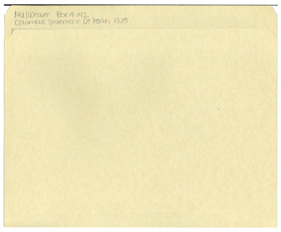## MU IWeaver Box 4 1412<br>Columbus Statement Ot Fairth 1925

 $\epsilon$ 

 $\tilde{u}$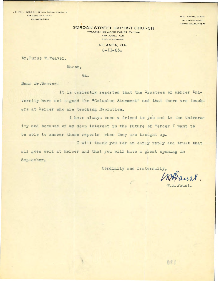JOHN H. HUDSON, CHMN. BOARD DEACONS **861 GORDON STREET** PHONE W-0534

B. C. SMITH, CLENK 317 PALMER BLDG. PHONE WALNUT 5276

## **GORDON STREET BAPTIST CHURCH**

WILLIAM HOWARD FAUST, PASTOR 439 LUCILE AVE. **PHONE W-2453-J** 

> ATLANTA, GA.  $8 - II - 25$ .

Dr. Rufus W. Weaver.

Macon,

Ga.

Dear Dr. Weaver:

It is currently reported that the Trustees of Mercer University have not signed the "Columbus Staement" and that there are teachers at Mercer who are teaching Evolution.

I have always been a friend to you nad to the University and because of my deep interest in the future of "ercer I want to be able to answer these reports when they are brought up.

I will thank you for an early reply and trust that

all goes well at Mercer and that you will have a great opening in September.

Cerdially and fraternally,

W.H. Faust.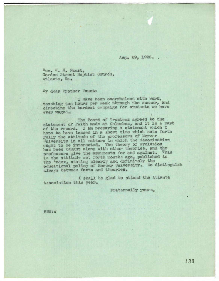Aug. 29, 1925.

Rev. W. H. Faust, Gordon Street Baptist Church, Atlanta, Ga.

My dear Brother Faust:

I have been overwhelmed with work, teaching ten hours per week through the summer, and cirecting the hardest campaign for students we have ever waged.

The Board of Trustees agreed to the statement of faith made at Columbus, and it is a part of the record. I am preparing a statement which I hope to have issued in a short time which sets forth fully the attitude of the professors of Mercer University in all matters in which the denomination ought to be interested. The theory of evolution has been taught along with other theories, and the professors give the auguments for and against. This is the attitude set forth months ago, published in the <sup>i</sup>ndex, stating clearly and definitely the educational policy of Mercer University. We distinguish always between facts and theories.

I shall be glad to attend the Atlanta Association this year.

Fraternally yours,

RWW: W